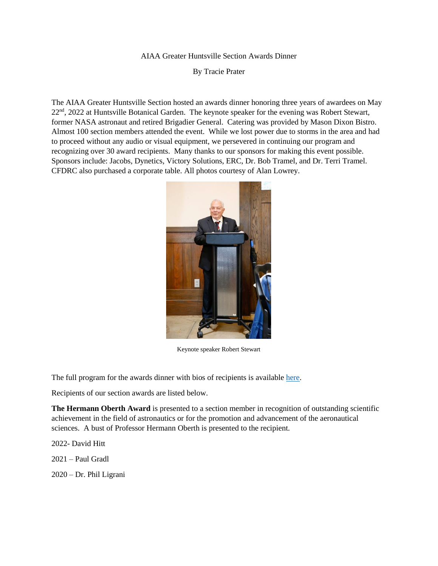## AIAA Greater Huntsville Section Awards Dinner

By Tracie Prater

The AIAA Greater Huntsville Section hosted an awards dinner honoring three years of awardees on May 22<sup>nd</sup>, 2022 at Huntsville Botanical Garden. The keynote speaker for the evening was Robert Stewart, former NASA astronaut and retired Brigadier General. Catering was provided by Mason Dixon Bistro. Almost 100 section members attended the event. While we lost power due to storms in the area and had to proceed without any audio or visual equipment, we persevered in continuing our program and recognizing over 30 award recipients. Many thanks to our sponsors for making this event possible. Sponsors include: Jacobs, Dynetics, Victory Solutions, ERC, Dr. Bob Tramel, and Dr. Terri Tramel. CFDRC also purchased a corporate table. All photos courtesy of Alan Lowrey.



Keynote speaker Robert Stewart

The full program for the awards dinner with bios of recipients is available [here.](https://aiaa.s3.us-east-2.amazonaws.com/AIAA+GHS+2022+awards+dinner+program.pdf?fbclid=IwAR12I50YuQGCUEb3xOTbg5z0PNtglvAyPcDek09ErQi9kYxNQaqnEhxQ9AY)

Recipients of our section awards are listed below.

**The Hermann Oberth Award** is presented to a section member in recognition of outstanding scientific achievement in the field of astronautics or for the promotion and advancement of the aeronautical sciences. A bust of Professor Hermann Oberth is presented to the recipient.

2022- David Hitt

2021 – Paul Gradl

2020 – Dr. Phil Ligrani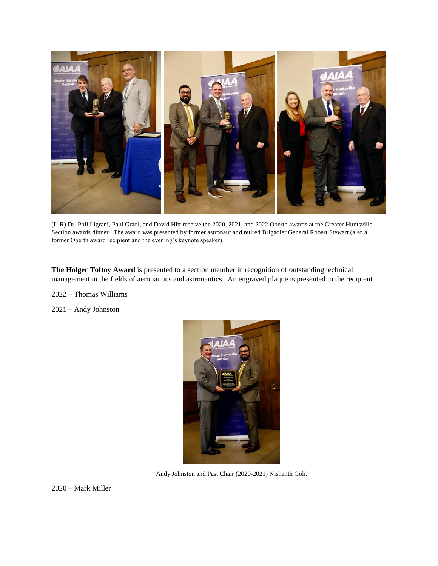

(L-R) Dr. Phil Ligrani, Paul Gradl, and David Hitt receive the 2020, 2021, and 2022 Oberth awards at the Greater Huntsville Section awards dinner. The award was presented by former astronaut and retired Brigadier General Robert Stewart (also a former Oberth award recipient and the evening's keynote speaker).

**The Holger Toftoy Award** is presented to a section member in recognition of outstanding technical management in the fields of aeronautics and astronautics. An engraved plaque is presented to the recipient.

2022 – Thomas Williams

2021 – Andy Johnston



Andy Johnston and Past Chair (2020-2021) Nishanth Goli.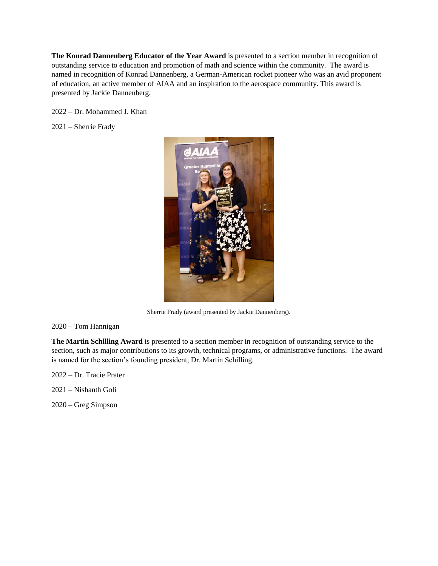**The Konrad Dannenberg Educator of the Year Award** is presented to a section member in recognition of outstanding service to education and promotion of math and science within the community. The award is named in recognition of Konrad Dannenberg, a German-American rocket pioneer who was an avid proponent of education, an active member of AIAA and an inspiration to the aerospace community. This award is presented by Jackie Dannenberg.

2022 – Dr. Mohammed J. Khan

2021 – Sherrie Frady



Sherrie Frady (award presented by Jackie Dannenberg).

2020 – Tom Hannigan

**The Martin Schilling Award** is presented to a section member in recognition of outstanding service to the section, such as major contributions to its growth, technical programs, or administrative functions. The award is named for the section's founding president, Dr. Martin Schilling.

2022 – Dr. Tracie Prater

2021 – Nishanth Goli

2020 – Greg Simpson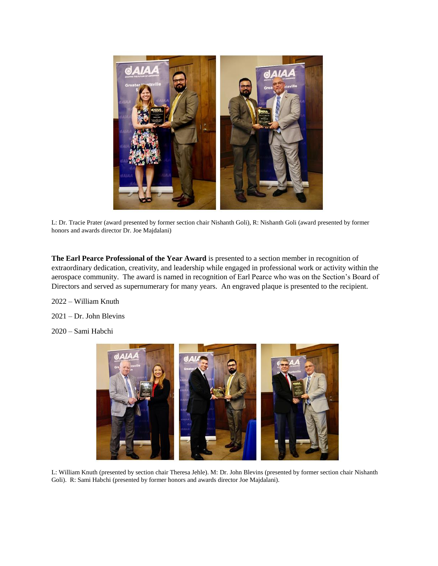

L: Dr. Tracie Prater (award presented by former section chair Nishanth Goli), R: Nishanth Goli (award presented by former honors and awards director Dr. Joe Majdalani)

**The Earl Pearce Professional of the Year Award** is presented to a section member in recognition of extraordinary dedication, creativity, and leadership while engaged in professional work or activity within the aerospace community. The award is named in recognition of Earl Pearce who was on the Section's Board of Directors and served as supernumerary for many years. An engraved plaque is presented to the recipient.

2022 – William Knuth

- 2021 Dr. John Blevins
- 2020 Sami Habchi



L: William Knuth (presented by section chair Theresa Jehle). M: Dr. John Blevins (presented by former section chair Nishanth Goli). R: Sami Habchi (presented by former honors and awards director Joe Majdalani).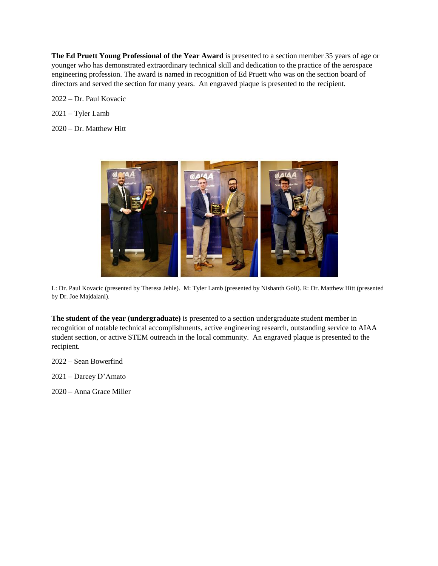**The Ed Pruett Young Professional of the Year Award** is presented to a section member 35 years of age or younger who has demonstrated extraordinary technical skill and dedication to the practice of the aerospace engineering profession. The award is named in recognition of Ed Pruett who was on the section board of directors and served the section for many years. An engraved plaque is presented to the recipient.

2022 – Dr. Paul Kovacic

- 2021 Tyler Lamb
- 2020 Dr. Matthew Hitt



L: Dr. Paul Kovacic (presented by Theresa Jehle). M: Tyler Lamb (presented by Nishanth Goli). R: Dr. Matthew Hitt (presented by Dr. Joe Majdalani).

**The student of the year (undergraduate)** is presented to a section undergraduate student member in recognition of notable technical accomplishments, active engineering research, outstanding service to AIAA student section, or active STEM outreach in the local community. An engraved plaque is presented to the recipient.

- 2022 Sean Bowerfind
- 2021 Darcey D'Amato
- 2020 Anna Grace Miller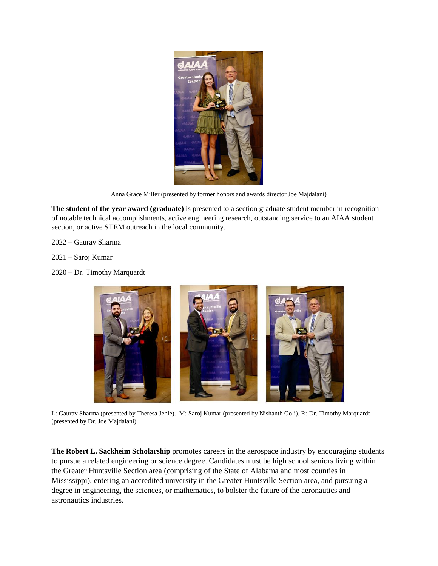

Anna Grace Miller (presented by former honors and awards director Joe Majdalani)

**The student of the year award (graduate)** is presented to a section graduate student member in recognition of notable technical accomplishments, active engineering research, outstanding service to an AIAA student section, or active STEM outreach in the local community.

- 2022 Gaurav Sharma
- 2021 Saroj Kumar
- 2020 Dr. Timothy Marquardt



L: Gaurav Sharma (presented by Theresa Jehle). M: Saroj Kumar (presented by Nishanth Goli). R: Dr. Timothy Marquardt (presented by Dr. Joe Majdalani)

**The Robert L. Sackheim Scholarship** promotes careers in the aerospace industry by encouraging students to pursue a related engineering or science degree. Candidates must be high school seniors living within the Greater Huntsville Section area (comprising of the State of Alabama and most counties in Mississippi), entering an accredited university in the Greater Huntsville Section area, and pursuing a degree in engineering, the sciences, or mathematics, to bolster the future of the aeronautics and astronautics industries.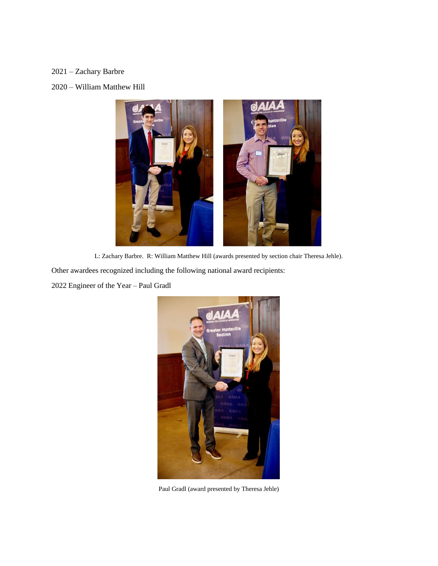## 2021 – Zachary Barbre

## 2020 – William Matthew Hill



L: Zachary Barbre. R: William Matthew Hill (awards presented by section chair Theresa Jehle).

Other awardees recognized including the following national award recipients:

2022 Engineer of the Year – Paul Gradl



Paul Gradl (award presented by Theresa Jehle)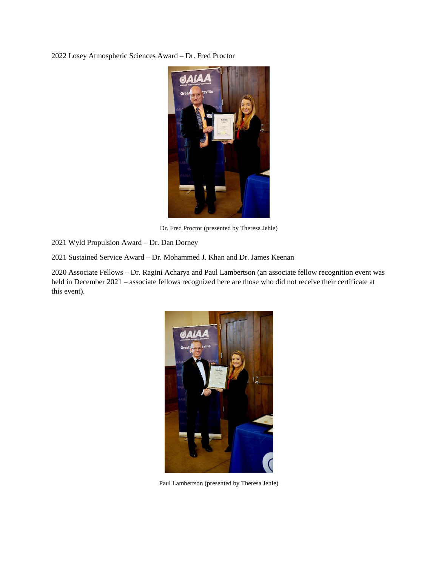2022 Losey Atmospheric Sciences Award – Dr. Fred Proctor



Dr. Fred Proctor (presented by Theresa Jehle)

2021 Wyld Propulsion Award – Dr. Dan Dorney

2021 Sustained Service Award – Dr. Mohammed J. Khan and Dr. James Keenan

2020 Associate Fellows – Dr. Ragini Acharya and Paul Lambertson (an associate fellow recognition event was held in December 2021 – associate fellows recognized here are those who did not receive their certificate at this event).



Paul Lambertson (presented by Theresa Jehle)